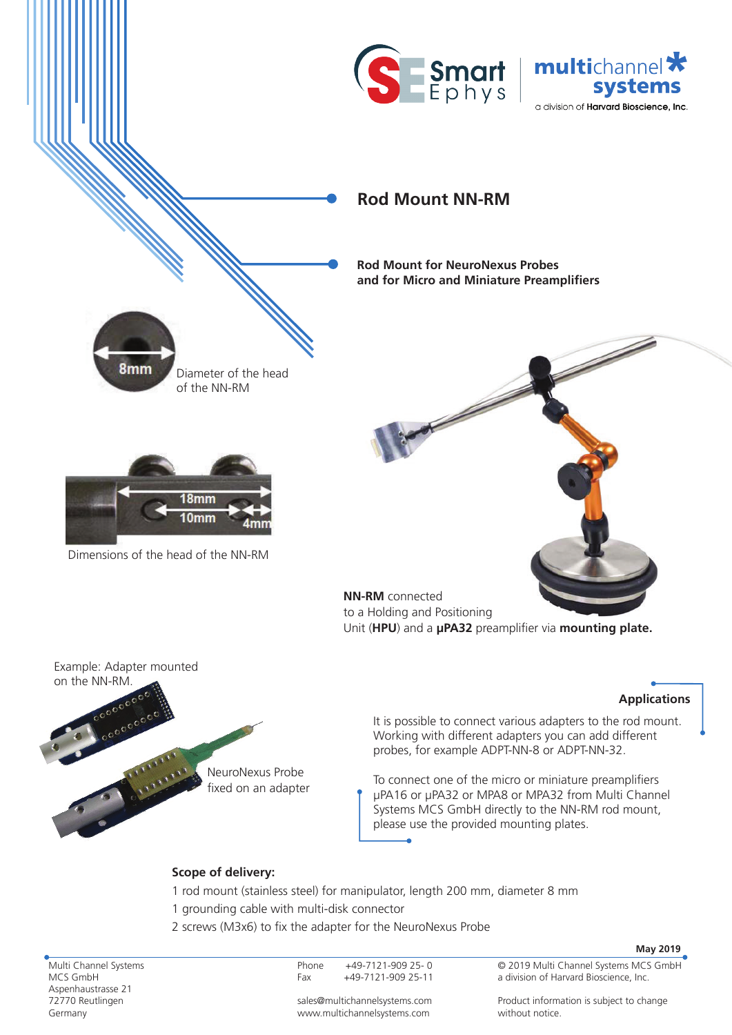



## **Rod Mount NN-RM**

**Rod Mount for NeuroNexus Probes and for Micro and Miniature Preamplifiers**



to a Holding and Positioning Unit (**HPU**) and a **μPA32** preamplifier via **mounting plate.**

Example: Adapter mounted on the NN-RM.

8<sub>mm</sub>

Dimensions of the head of the NN-RM

Diameter of the head

of the NN-RM

0mm

24-We 24- 24-WeWe

24- 24- 24-WeWeWe

## **Applications**

It is possible to connect various adapters to the rod mount. Working with different adapters you can add different probes, for example ADPT-NN-8 or ADPT-NN-32.

To connect one of the micro or miniature preamplifiers μPA16 or μPA32 or MPA8 or MPA32 from Multi Channel Systems MCS GmbH directly to the NN-RM rod mount, please use the provided mounting plates.

## **Scope of delivery:**

NeuroNexus Probe fixed on an adapter

- 1 rod mount (stainless steel) for manipulator, length 200 mm, diameter 8 mm 1 grounding cable with multi-disk connector
- 2 screws (M3x6) to fix the adapter for the NeuroNexus Probe

Multi Channel Systems MCS GmbH Aspenhaustrasse 21 72770 Reutlingen Germany

Phone +49-7121-909 25- 0 Fax +49-7121-909 25-11 **May 2019**

© 2019 Multi Channel Systems MCS GmbH a division of Harvard Bioscience, Inc.

sales@multichannelsystems.com www.multichannelsystems.com

Product information is subject to change without notice.